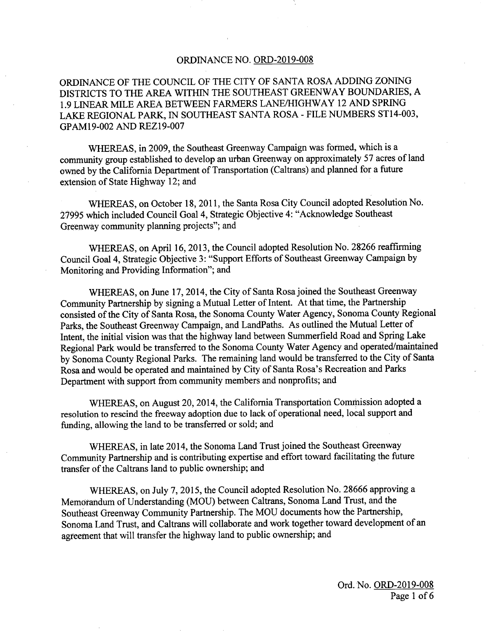## ORDINANCE NO. ORD-2019-008

ORDINANCE OF THE COUNCIL OF THE CITY OF SANTA ROSA ADDING ZONING DISTRICTS TO THE AREA WITHIN THE SOUTHEAST GREENWAY BOUNDARIES, A 1.9 LINEAR MILE AREA BETWEEN FARMERS LANE/HIGHWAY 12 AND SPRING LAKE REGIONAL PARK, IN SOUTHEAST SANTA ROSA - FILE NUMBERS ST14-003, GPAM 19-002 AND REZ 19-007

WHEREAS, in 2009, the Southeast Greenway Campaign was formed, which is a community group established to develop an urban Greenway on approximately 57 acres of land owned by the California Department of Transportation ( Caltrans) and planned for <sup>a</sup> future extension of State Highway 12; and

WHEREAS, on October 18, 2011, the Santa Rosa City Council adopted Resolution No. 27995 which included Council Goal 4, Strategic Objective 4: " Acknowledge Southeast Greenway community planning projects"; and

WHEREAS, on April 16, 2013, the Council adopted Resolution No. 28266 reaffirming Council Goal 4, Strategic Objective 3: " Support Efforts of Southeast Greenway Campaign by Monitoring and Providing Information"; and

WHEREAS, on June 17, 2014, the City of Santa Rosa joined the Southeast Greenway Community Partnership by signing a Mutual Letter of Intent. At that time, the Partnership consisted of the City of Santa Rosa, the Sonoma County Water Agency, Sonoma County Regional Parks, the Southeast Greenway Campaign, and LandPaths. As outlined the Mutual Letter of Intent, the initial vision was that the highway land between Summerfield Road and Spring Lake Regional Park would be transferred to the Sonoma County Water Agency and operated/maintained by Sonoma County Regional Parks. The remaining land would be transferred to the City of Santa Rosa and would be operated and maintained by City of Santa Rosa's Recreation and Parks Department with support from community members and nonprofits; and

WHEREAS, on August 20, 2014, the California Transportation Commission adopted a resolution to rescind the freeway adoption due to lack of operational need, local support and funding, allowing the land to be transferred or sold; and

WHEREAS, in late 2014, the Sonoma Land Trust joined the Southeast Greenway Community Partnership and is contributing expertise and effort toward facilitating the future transfer of the Caltrans land to public ownership; and

WHEREAS, on July 7, 2015, the Council adopted Resolution No. 28666 approving a Memorandum of Understanding ( MOU) between Caltrans, Sonoma Land Trust, and the Southeast Greenway Community Partnership. The MOU documents how the Partnership, Sonoma Land Trust, and Caltrans will collaborate and work together toward development of an agreement that will transfer the highway land to public ownership; and

> Ord. No. ORD-2019-008 Page <sup>1</sup> of <sup>6</sup>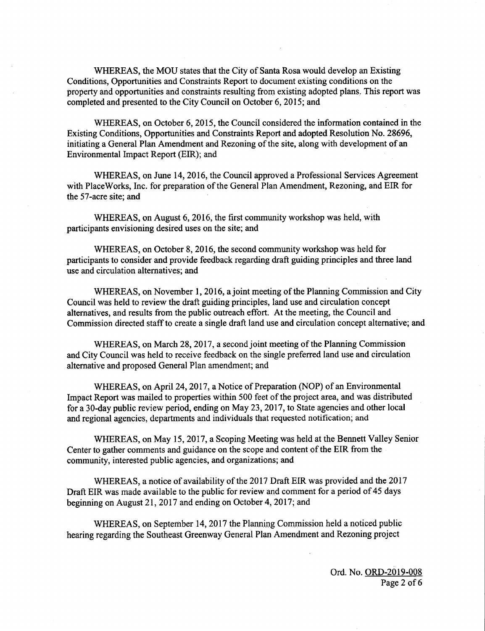WHEREAS, the MOU states that the City of Santa Rosa would develop an Existing Conditions, Opportunities and Constraints Report to document existing conditions on the property and opportunities and constraints resulting from existing adopted plans. This report was completed and presented to the City Council on October 6, 2015; and

WHEREAS, on October 6, 2015, the Council considered the information contained in the Existing Conditions, Opportunities and Constraints Report and adopted Resolution No. 28696, initiating <sup>a</sup> General Plan Amendment and Rezoning of the site, along with development of an Environmental Impact Report (EIR); and

WHEREAS, on June 14, 2016, the Council approved a Professional Services Agreement with PlaceWorks, Inc. for preparation of the General Plan Amendment, Rezoning, and EIR for the 57-acre site; and

WHEREAS, on August 6, 2016, the first community workshop was held, with participants envisioning desired uses on the site; and

WHEREAS, on October 8, 2016, the second community workshop was held for participants to consider and provide feedback regarding draft guiding principles and three land use and circulation alternatives; and

WHEREAS, on November 1, 2016, a joint meeting of the Planning Commission and City Council was held to review the draft guiding principles, land use and circulation concept alternatives, and results from the public outreach effort. At the meeting, the Council and Commission directed staff to create <sup>a</sup> single draft land use and circulation concept alternative; and

WHEREAS, on March 28, 2017, a second joint meeting of the Planning Commission and City Council was held to receive feedback on the single preferred land use and circulation alternative and proposed General Plan amendment; and

WHEREAS, on April 24, 2017, a Notice of Preparation ( NOP) of an Environmental Impact Report was mailed to properties within 500 feet of the project area, and was distributed for a 30-day public review period, ending on May 23, 2017, to State agencies and other local and regional agencies, departments and individuals that requested notification; and

WHEREAS, on May 15, 2017, a Scoping Meeting was held at the Bennett Valley Senior Center to gather comments and guidance on the scope and content of the EIR from the community, interested public agencies, and organizations; and

WHEREAS, a notice of availability of the 2017 Draft EIR was provided and the 2017 Draft EIR was made available to the public for review and comment for <sup>a</sup> period of 45 days beginning on August 21, 2017 and ending on October 4, 2017; and

WHEREAS, on September 14, 2017 the Planning Commission held a noticed public hearing regarding the Southeast Greenway General Plan Amendment and Rezoning project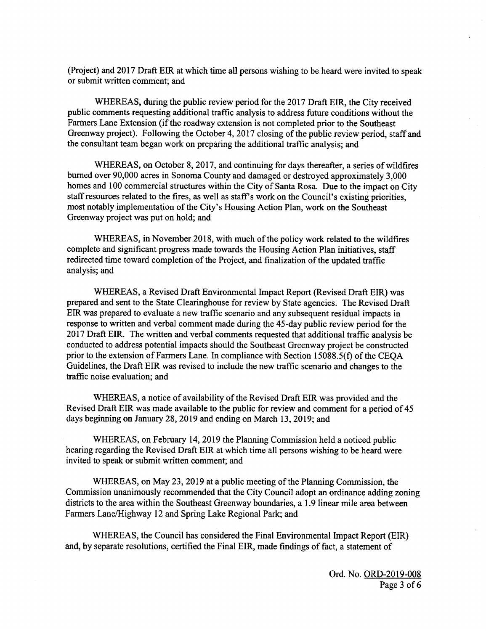Project) and 2017 Draft EIR at which time all persons wishing to be heard were invited to speak or submit written comment; and

WHEREAS, during the public review period for the 2017 Draft EIR, the City received public comments requesting additional traffic analysis to address future conditions without the Farmers Lane Extension (if the roadway extension is not completed prior to the Southeast Greenway project). Following the October 4, 2017 closing of the public review period, staff and the consultant team began work on preparing the additional traffic analysis; and

WHEREAS, on October 8, 2017, and continuing for days thereafter, a series of wildfires burned over 90,000 acres in Sonoma County and damaged or destroyed approximately 3,000 homes and 100 commercial structures within the City of Santa Rosa. Due to the impact on City staff resources related to the fires, as well as staff's work on the Council's existing priorities, most notably implementation of the City's Housing Action Plan, work on the Southeast Greenway project was put on hold; and

WHEREAS, in November 2018, with much of the policy work related to the wildfires complete and significant progress made towards the Housing Action Plan initiatives, staff redirected time toward completion of the Project, and finalization of the updated traffic analysis; and

WHEREAS, a Revised Draft Environmental Impact Report ( Revised Draft EIR) was prepared and sent to the State Clearinghouse for review by State agencies. The Revised Draft EIR was prepared to evaluate a new traffic scenario and any subsequent residual impacts in response to written and verbal comment made during the 45- day public review period for the 2017 Draft EIR. The written and verbal comments requested that additional traffic analysis be conducted to address potential impacts should the Southeast Greenway project be constructed prior to the extension of Farmers Lane. In compliance with Section 15088.5(f) of the CEQA Guidelines, the Draft EIR was revised to include the new traffic scenario and changes to the traffic noise evaluation; and

WHEREAS, a notice of availability of the Revised Draft EIR was provided and the Revised Draft EIR was made available to the public for review and comment for <sup>a</sup> period of 45 days beginning on January 28, 2019 and ending on March 13, 2019; and

WHEREAS, on February 14, 2019 the Planning Commission held a noticed public hearing regarding the Revised Draft EIR at which time all persons wishing to be heard were invited to speak or submit written comment; and

WHEREAS, on May 23, 2019 at a public meeting of the Planning Commission, the Commission unanimously recommended that the City Council adopt an ordinance adding zoning districts to the area within the Southeast Greenway boundaries, a 1. 9 linear mile area between Farmers Lane/Highway 12 and Spring Lake Regional Park; and

WHEREAS, the Council has considered the Final Environmental Impact Report (EIR) and, by separate resolutions, certified the Final EIR, made findings of fact, a statement of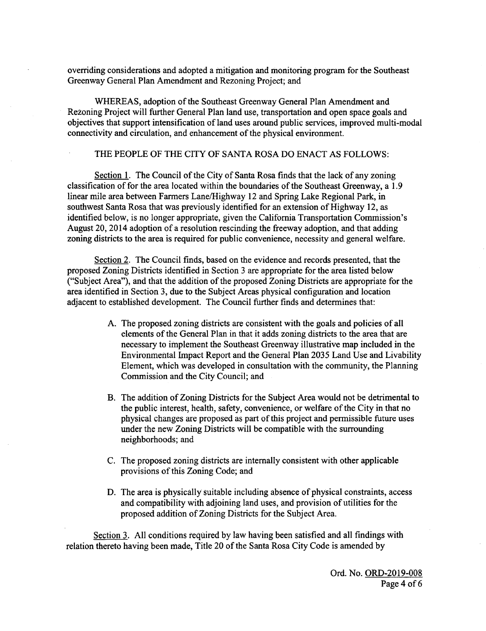overriding considerations and adopted a mitigation and monitoring program for the Southeast Greenway General Plan Amendment and Rezoning Project; and

WHEREAS, adoption of the Southeast Greenway General Plan Amendment and Rezoning Project will further General Plan land use, transportation and open space goals and objectives that support intensification of land uses around public services, improved multi-modal connectivity and circulation, and enhancement of the physical environment.

## THE PEOPLE OF THE CITY OF SANTA ROSA DO ENACT AS FOLLOWS:

Section 1. The Council of the City of Santa Rosa finds that the lack of any zoning classification of for the area located within the boundaries of the Southeast Greenway, a 1. 9 linear mile area between Farmers Lane/ Highway 12 and Spring Lake Regional Park, in southwest Santa Rosa that was previously identified for an extension of Highway 12, as identified below, is no longer appropriate, given the California Transportation Commission's August 20, 2014 adoption of a resolution rescinding the freeway adoption, and that adding zoning districts to the area is required for public convenience, necessity and general welfare.

Section 2. The Council finds, based on the evidence and records presented, that the proposed Zoning Districts identified in Section <sup>3</sup> are appropriate for the area listed below Subject Area"), and that the addition of the proposed Zoning Districts are appropriate for the area identified in Section 3, due to the Subject Areas physical configuration and location adjacent to established development. The Council further finds and determines that:

- A. The proposed zoning districts are consistent with the goals and policies of all elements of the General Plan in that it adds zoning districts to the area that are necessary to implement the Southeast Greenway illustrative map included in the Environmental Impact Report and the General Plan 2035 Land Use and Livability Element, which was developed in consultation with the community, the Planning Commission and the City Council; and
- B. The addition of Zoning Districts for the Subject Area would not be detrimental to the public interest, health, safety, convenience, or welfare of the City in that no physical changes are proposed as part of this project and permissible future uses under the new Zoning Districts will be compatible with the surrounding neighborhoods; and
- C. The proposed zoning districts are internally consistent with other applicable provisions of this Zoning Code; and
- D. The area is physically suitable including absence of physical constraints, access and compatibility with adjoining land uses, and provision of utilities for the proposed addition of Zoning Districts for the Subject Area.

Section 3. All conditions required by law having been satisfied and all findings with relation thereto having been made, Title 20 of the Santa Rosa City Code is amended by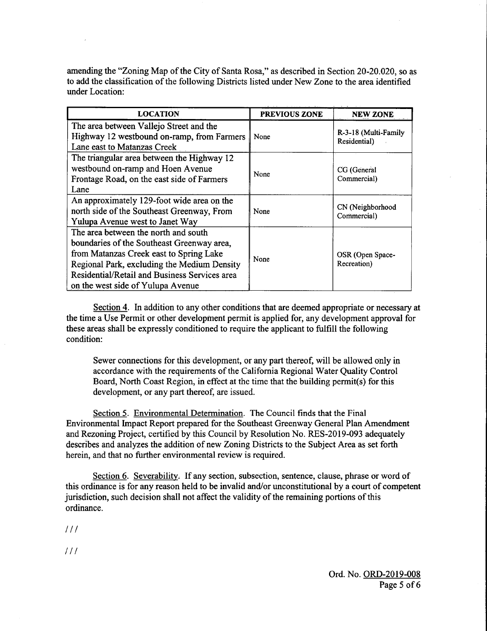amending the "Zoning Map of the City of Santa Rosa," as described in Section 20-20.020, so as to add the classification of the following Districts listed under New Zone to the area identified under Location:

| <b>LOCATION</b>                                                                                                                                                                                                                                                    | <b>PREVIOUS ZONE</b> | <b>NEW ZONE</b>                      |
|--------------------------------------------------------------------------------------------------------------------------------------------------------------------------------------------------------------------------------------------------------------------|----------------------|--------------------------------------|
| The area between Vallejo Street and the<br>Highway 12 westbound on-ramp, from Farmers<br>Lane east to Matanzas Creek                                                                                                                                               | None                 | R-3-18 (Multi-Family<br>Residential) |
| The triangular area between the Highway 12<br>westbound on-ramp and Hoen Avenue<br>Frontage Road, on the east side of Farmers<br>Lane                                                                                                                              | None                 | CG (General<br>Commercial)           |
| An approximately 129-foot wide area on the<br>north side of the Southeast Greenway, From<br>Yulupa Avenue west to Janet Way                                                                                                                                        | None                 | CN (Neighborhood<br>Commercial)      |
| The area between the north and south<br>boundaries of the Southeast Greenway area,<br>from Matanzas Creek east to Spring Lake<br>Regional Park, excluding the Medium Density<br>Residential/Retail and Business Services area<br>on the west side of Yulupa Avenue | None                 | OSR (Open Space-<br>Recreation)      |

Section 4. In addition to any other conditions that are deemed appropriate or necessary at the time a Use Permit or other development permit is applied for, any development approval for these areas shall be expressly conditioned to require the applicant to fulfill the following condition:

Sewer connections for this development, or any part thereof, will be allowed only in accordance with the requirements of the California Regional Water Quality Control Board, North Coast Region, in effect at the time that the building permit(s) for this development, or any part thereof, are issued.

Section 5. Environmental Determination. The Council finds that the Final Environmental Impact Report prepared for the Southeast Greenway General Plan Amendment and Rezoning Project, certified by this Council by Resolution No. RES-2019-093 adequately describes and analyzes the addition of new Zoning Districts to the Subject Area as set forth herein, and that no further environmental review is required.

Section 6. Severability. If any section, subsection, sentence, clause, phrase or word of this ordinance is for any reason held to be invalid and/or unconstitutional by a court of competent jurisdiction, such decision shall not affect the validity of the remaining portions of this ordinance.

 $111$ 

 $111$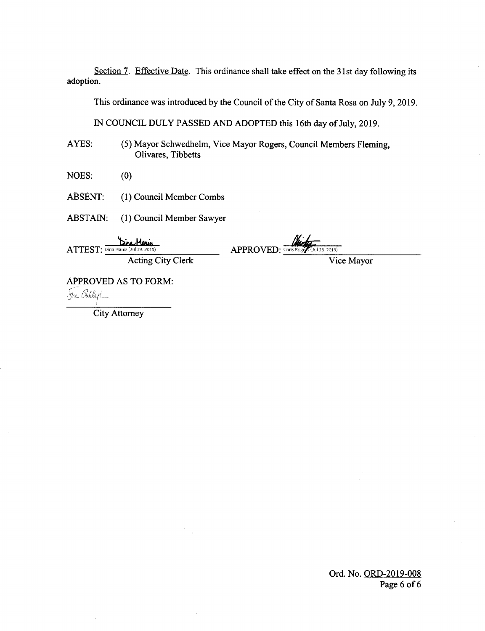Section 7. Effective Date. This ordinance shall take effect on the 31st day following its adoption.

This ordinance was introduced by the Council of the City of Santa Rosa on July 9, 2019.

IN COUNCIL DULY PASSED AND ADOPTED this 16th day of July, 2019.

AYES: (5) Mayor Schwedhelm, Vice Mayor Rogers, Council Members Fleming, Olivares, Tibbetts

 $NOES:$  (0)

ABSENT: (1) Council Member Combs

ABSTAIN: (1) Council Member Sawyer

,Munis אמג ATTEST: Dina Manis (Jul 23, 2019) APPROVED: Chris Roger (Jul 23, 2019)

Acting City Clerk Vice Mayor

APPROVED AS TO FORM: Sue Beller

City Attorney

Ord. No. ORD-2019-008 Page <sup>6</sup> of 6